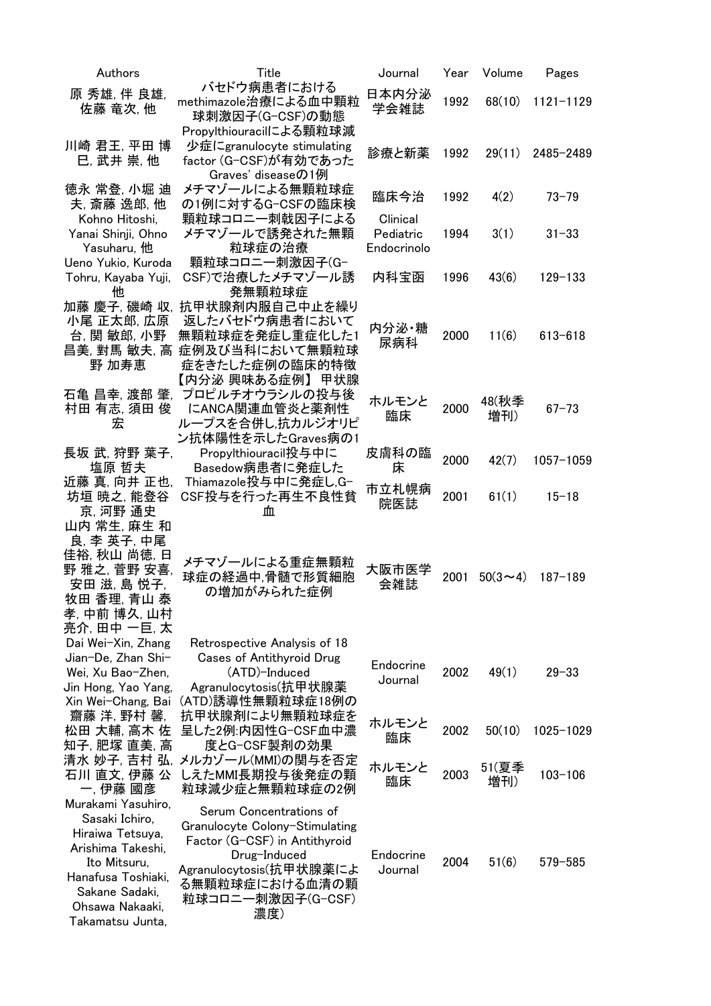| Authors                                                                                                                                                                      | Title                                                                                                                                                                               | Journal                              | Year | Volume       | Pages         |
|------------------------------------------------------------------------------------------------------------------------------------------------------------------------------|-------------------------------------------------------------------------------------------------------------------------------------------------------------------------------------|--------------------------------------|------|--------------|---------------|
| 原 秀雄, 伴 良雄,<br>佐藤 竜次, 他                                                                                                                                                      | バセドウ病患者における<br>methimazole治療による血中顆粒                                                                                                                                                 | 日本内分泌<br>学会雑誌                        | 1992 | 68(10)       | $1121 - 1129$ |
|                                                                                                                                                                              | 球刺激因子(G-CSF)の動態<br>Propylthiouracilによる顆粒球減                                                                                                                                          |                                      |      |              |               |
| 川崎 君王, 平田 博<br>巳, 武井 崇, 他                                                                                                                                                    | 少症にgranulocyte stimulating<br>factor (G-CSF)が有効であった<br>Graves' diseaseの1例                                                                                                           | 診療と新薬                                | 1992 | 29(11)       | 2485-2489     |
| 徳永 常登, 小堀 迪<br>夫, 斎藤 逸郎, 他                                                                                                                                                   | メチマゾールによる無顆粒球症<br>の1例に対するG-CSFの臨床検                                                                                                                                                  | 臨床今治                                 | 1992 | 4(2)         | $73 - 79$     |
| Kohno Hitoshi,<br>Yanai Shinji, Ohno<br>Yasuharu, 他                                                                                                                          | 顆粒球コロニー刺戟因子による<br>メチマゾールで誘発された無顆<br>粒球症の治療                                                                                                                                          | Clinical<br>Pediatric<br>Endocrinolo | 1994 | 3(1)         | $31 - 33$     |
| Ueno Yukio, Kuroda<br>Tohru, Kayaba Yuji,<br>4th                                                                                                                             | 顆粒球コロニー刺激因子(G-<br>CSF)で治療したメチマゾール誘<br>発無顆粒球症                                                                                                                                        | 内科宝函                                 | 1996 | 43(6)        | $129 - 133$   |
| 加藤 慶子, 磯崎 収,<br>小尾 正太郎, 広原<br>台, 関 敏郎, 小野<br>昌美, 對馬 敏夫, 高<br>野 加寿恵                                                                                                           | 抗甲状腺剤内服自己中止を繰り<br>返したバセドウ病患者において<br>無顆粒球症を発症し重症化した1<br>症例及び当科において無顆粒球<br>症をきたした症例の臨床的特徴                                                                                             | 内分泌·糖<br>尿病科                         | 2000 | 11(6)        | $613 - 618$   |
| 村田 有志, 須田 俊<br>宏                                                                                                                                                             | 【内分泌 興味ある症例】 甲状腺<br>石亀 昌幸, 渡部 肇, プロピルチオウラシルの投与後<br>にANCA関連血管炎と薬剤性<br>ループスを合併し,抗カルジオリピ<br>ン抗体陽性を示したGraves病の1                                                                         | ホルモンと<br>臨床                          | 2000 | 48(秋季<br>増刊) | $67 - 73$     |
| 長坂 武, 狩野 葉子,<br>塩原 哲夫                                                                                                                                                        | Propylthiouracil投与中に<br>Basedow病患者に発症した                                                                                                                                             | 皮膚科の臨<br>床                           | 2000 | 42(7)        | 1057-1059     |
| 近藤 真, 向井 正也,<br>坊垣 暁之, 能登谷<br>京, 河野 通史                                                                                                                                       | Thiamazole投与中に発症し,G-<br>CSF投与を行った再生不良性貧<br>血                                                                                                                                        | 市立札幌病<br>院医誌                         | 2001 | 61(1)        | $15 - 18$     |
| 山内 常生, 麻生 和<br>良, 李 英子, 中尾<br>佳裕, 秋山 尚徳, 日<br>野 雅之, 菅野 安喜,<br>安田 滋, 島 悦子,<br>牧田 香理, 青山 泰<br>孝, 中前 博久, 山村<br>亮介, 田中 一巨, 太<br>Dai Wei-Xin, Zhang                               | メチマゾールによる重症無顆粒<br>球症の経過中,骨髄で形質細胞<br>の増加がみられた症例<br>Retrospective Analysis of 18                                                                                                      | 大阪市医学<br>会雑誌                         | 2001 | $50(3 - 4)$  | $187 - 189$   |
| Jian-De, Zhan Shi-<br>Wei, Xu Bao-Zhen,<br>Jin Hong, Yao Yang,<br>Xin Wei-Chang, Bai                                                                                         | <b>Cases of Antithyroid Drug</b><br>(ATD)-Induced<br>Agranulocytosis(抗甲状腺薬<br>(ATD)誘導性無顆粒球症18例の                                                                                     | Endocrine<br>Journal                 | 2002 | 49(1)        | $29 - 33$     |
| 齋藤 洋. 野村 馨.<br>松田 大輔, 高木 佐<br>知子,肥塚 直美, 高                                                                                                                                    | 抗甲状腺剤により無顆粒球症を<br>呈した2例:内因性G-CSF血中濃<br>度とG-CSF製剤の効果                                                                                                                                 | ホルモンと<br>臨床                          | 2002 | 50(10)       | 1025-1029     |
| 石川 直文, 伊藤 公<br>一, 伊藤 國彦                                                                                                                                                      | 清水 妙子, 吉村 弘, メルカゾール(MMI)の関与を否定<br>しえたMMI長期投与後発症の顆<br>粒球減少症と無顆粒球症の2例                                                                                                                 | ホルモンと<br>臨床                          | 2003 | 51(夏季<br>増刊) | $103 - 106$   |
| Murakami Yasuhiro,<br>Sasaki Ichiro,<br>Hiraiwa Tetsuya,<br>Arishima Takeshi,<br>Ito Mitsuru,<br>Hanafusa Toshiaki,<br>Sakane Sadaki,<br>Ohsawa Nakaaki,<br>Takamatsu Junta, | Serum Concentrations of<br>Granulocyte Colony-Stimulating<br>Factor (G-CSF) in Antithyroid<br>Drug-Induced<br>Agranulocytosis(抗甲状腺薬によ<br>る無顆粒球症における血清の顆<br>粒球コロニー刺激因子(G-CSF)<br>濃度) | Endocrine<br>Journal                 | 2004 | 51(6)        | $579 - 585$   |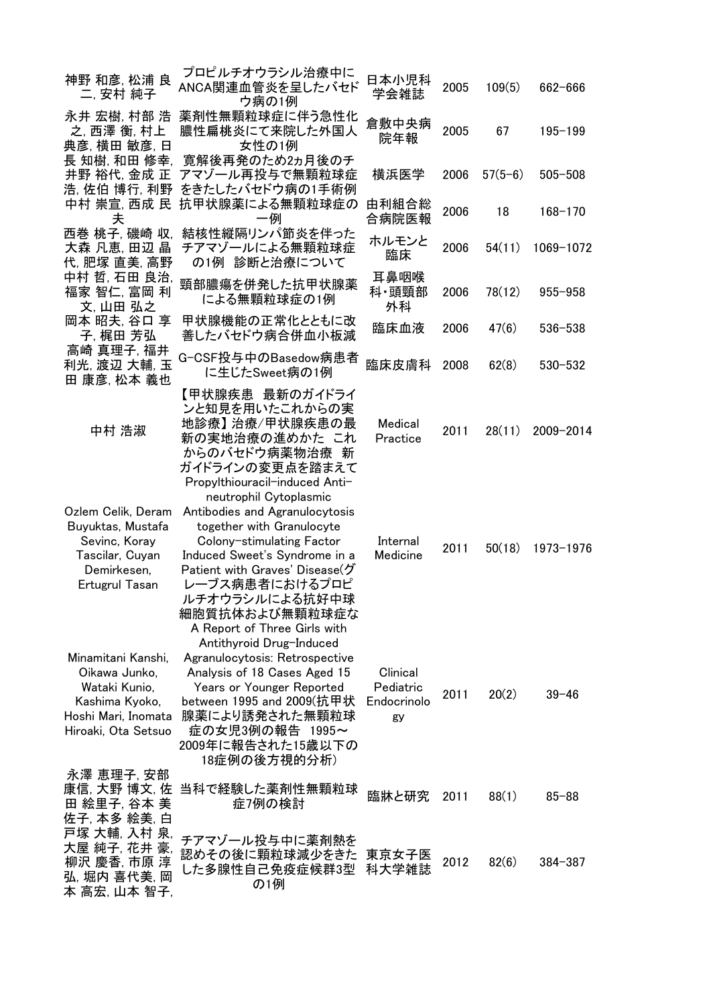| 神野 和彦, 松浦 良<br>二, 安村 純子                                                                                              | プロピルチオウラシル治療中に<br>ANCA関連血管炎を呈したバセド<br>ウ病の1例                                                                                                                                                                                                                                 | 日本小児科<br>学会雑誌                              | 2005 | 109(5)    | 662-666     |
|----------------------------------------------------------------------------------------------------------------------|-----------------------------------------------------------------------------------------------------------------------------------------------------------------------------------------------------------------------------------------------------------------------------|--------------------------------------------|------|-----------|-------------|
| 永井 宏樹, 村部 浩<br>之, 西澤 衡, 村上<br>典彦, 横田 敏彦, 日                                                                           | 薬剤性無顆粒球症に伴う急性化<br>膿性扁桃炎にて来院した外国人<br>女性の1例                                                                                                                                                                                                                                   | 倉敷中央病<br>院年報                               | 2005 | 67        | $195 - 199$ |
| 長 知樹, 和田 修幸,<br>井野 裕代, 金成 正<br>浩, 佐伯 博行, 利野                                                                          | 寛解後再発のため2ヵ月後のチ<br>アマゾール再投与で無顆粒球症<br>をきたしたバセドウ病の1手術例                                                                                                                                                                                                                         | 横浜医学                                       | 2006 | $57(5-6)$ | $505 - 508$ |
| 中村 崇宣, 西成 民<br>夫                                                                                                     | 抗甲状腺薬による無顆粒球症の<br>一例                                                                                                                                                                                                                                                        | 由利組合総<br>合病院医報                             | 2006 | 18        | $168 - 170$ |
| 西巻 桃子, 磯崎 収,<br>大森 凡恵, 田辺 晶<br>代,肥塚直美,高野                                                                             | 結核性縦隔リンパ節炎を伴った<br>チアマゾールによる無顆粒球症<br>の1例 診断と治療について                                                                                                                                                                                                                           | ホルモンと<br>臨床                                | 2006 | 54(11)    | 1069-1072   |
| 中村 哲, 石田 良治,<br>福家 智仁, 富岡 利<br>文, 山田 弘之                                                                              | 頸部膿瘍を併発した抗甲状腺薬<br>による無顆粒球症の1例                                                                                                                                                                                                                                               | 耳鼻咽喉<br>科·頭頸部<br>外科                        | 2006 | 78(12)    | $955 - 958$ |
| 岡本 昭夫, 谷口享<br>子, 梶田 芳弘                                                                                               | 甲状腺機能の正常化とともに改<br>善したバセドウ病合併血小板減                                                                                                                                                                                                                                            | 臨床血液                                       | 2006 | 47(6)     | 536-538     |
| 高崎 真理子, 福井<br>利光, 渡辺 大輔, 玉<br>田 康彦, 松本 義也                                                                            | G-CSF投与中のBasedow病患者<br>に生じたSweet病の1例                                                                                                                                                                                                                                        | 臨床皮膚科                                      | 2008 | 62(8)     | $530 - 532$ |
| 中村 浩淑                                                                                                                | 【甲状腺疾患 最新のガイドライ<br>ンと知見を用いたこれからの実<br>地診療】 治療/甲状腺疾患の最<br>新の実地治療の進めかた これ<br>からのバセドウ病薬物治療<br>新<br>ガイドラインの変更点を踏まえて<br>Propylthiouracil-induced Anti-                                                                                                                            | Medical<br>Practice                        | 2011 | 28(11)    | 2009-2014   |
| Ozlem Celik, Deram<br>Buyuktas, Mustafa<br>Sevinc, Koray<br>Tascilar, Cuyan<br>Demirkesen,<br>Ertugrul Tasan         | neutrophil Cytoplasmic<br>Antibodies and Agranulocytosis<br>together with Granulocyte<br>Colony-stimulating Factor<br>Induced Sweet's Syndrome in a<br>Patient with Graves' Disease(グ<br>レーブス病患者におけるプロピ<br>ルチオウラシルによる抗好中球<br>細胞質抗体および無顆粒球症な<br>A Report of Three Girls with | Internal<br>Medicine                       | 2011 | 50(18)    | 1973-1976   |
| Minamitani Kanshi,<br>Oikawa Junko,<br>Wataki Kunio,<br>Kashima Kyoko,<br>Hoshi Mari, Inomata<br>Hiroaki, Ota Setsuo | Antithyroid Drug-Induced<br>Agranulocytosis: Retrospective<br>Analysis of 18 Cases Aged 15<br>Years or Younger Reported<br>between 1995 and 2009(抗甲状<br>腺薬により誘発された無顆粒球<br>症の女児3例の報告 1995~<br>2009年に報告された15歳以下の<br>18症例の後方視的分析)                                              | Clinical<br>Pediatric<br>Endocrinolo<br>gy | 2011 | 20(2)     | $39 - 46$   |
| 永澤 恵理子, 安部<br>康信, 大野 博文, 佐<br>田 絵里子, 谷本 美<br>佐子, 本多 絵美, 白                                                            | 当科で経験した薬剤性無顆粒球<br>症7例の検討                                                                                                                                                                                                                                                    | 臨牀と研究                                      | 2011 | 88(1)     | $85 - 88$   |
| 戸塚 大輔, 入村 泉<br>大屋 純子, 花井 豪,<br>柳沢 慶香, 市原 淳<br>弘, 堀内 喜代美, 岡<br>本 高宏, 山本 智子,                                           | チアマゾール投与中に薬剤熱を<br>認めその後に顆粒球減少をきた<br>した多腺性自己免疫症候群3型<br>の1例                                                                                                                                                                                                                   | 東京女子医<br>科大学雑誌                             | 2012 | 82(6)     | $384 - 387$ |